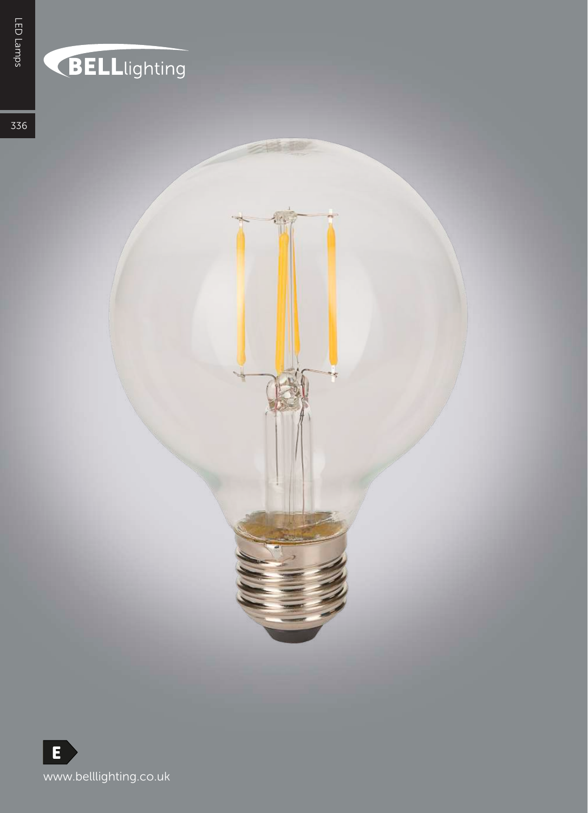## **BELL**lighting

罪

336